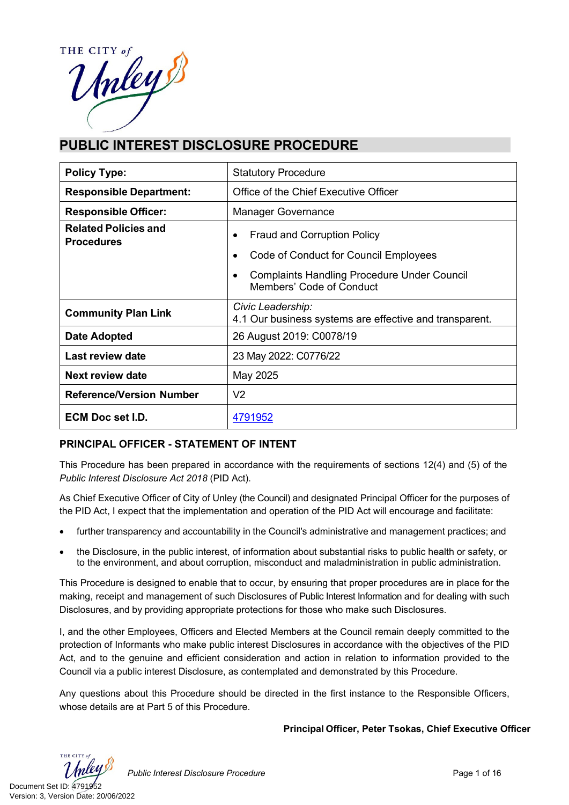THE CITY The CITY of

# **PUBLIC INTEREST DISCLOSURE PROCEDURE**

| <b>Policy Type:</b>                              | <b>Statutory Procedure</b>                                                     |  |
|--------------------------------------------------|--------------------------------------------------------------------------------|--|
| <b>Responsible Department:</b>                   | Office of the Chief Executive Officer                                          |  |
| <b>Responsible Officer:</b>                      | <b>Manager Governance</b>                                                      |  |
| <b>Related Policies and</b><br><b>Procedures</b> | <b>Fraud and Corruption Policy</b><br>Code of Conduct for Council Employees    |  |
|                                                  | <b>Complaints Handling Procedure Under Council</b><br>Members' Code of Conduct |  |
| <b>Community Plan Link</b>                       | Civic Leadership:<br>4.1 Our business systems are effective and transparent.   |  |
| Date Adopted                                     | 26 August 2019: C0078/19                                                       |  |
| Last review date                                 | 23 May 2022: C0776/22                                                          |  |
| Next review date                                 | May 2025                                                                       |  |
| <b>Reference/Version Number</b>                  | V <sub>2</sub>                                                                 |  |
| <b>ECM Doc set I.D.</b>                          | 4791952                                                                        |  |

#### **PRINCIPAL OFFICER - STATEMENT OF INTENT**

This Procedure has been prepared in accordance with the requirements of sections 12(4) and (5) of the *Public Interest Disclosure Act 2018* (PID Act).

As Chief Executive Officer of City of Unley (the Council) and designated Principal Officer for the purposes of the PID Act, I expect that the implementation and operation of the PID Act will encourage and facilitate:

- further transparency and accountability in the Council's administrative and management practices; and
- the Disclosure, in the public interest, of information about substantial risks to public health or safety, or to the environment, and about corruption, misconduct and maladministration in public administration.

This Procedure is designed to enable that to occur, by ensuring that proper procedures are in place for the making, receipt and management of such Disclosures of Public Interest Information and for dealing with such Disclosures, and by providing appropriate protections for those who make such Disclosures.

I, and the other Employees, Officers and Elected Members at the Council remain deeply committed to the protection of Informants who make public interest Disclosures in accordance with the objectives of the PID Act, and to the genuine and efficient consideration and action in relation to information provided to the Council via a public interest Disclosure, as contemplated and demonstrated by this Procedure.

Any questions about this Procedure should be directed in the first instance to the Responsible Officers, whose details are at Part 5 of this Procedure.

**Principal Officer, Peter Tsokas, Chief Executive Officer**

THE CITY

Public Interest Disclosure Procedure **Page 1 of 16** Page 1 of 16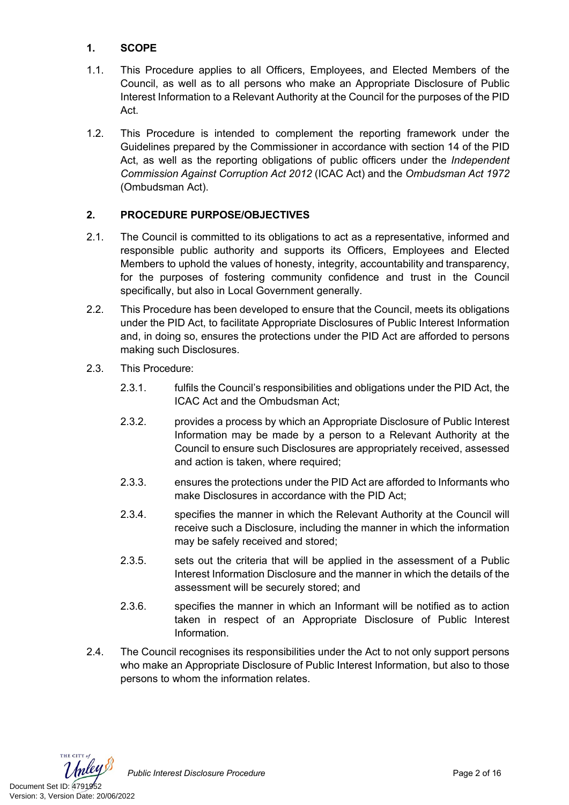### **1. SCOPE**

- 1.1. This Procedure applies to all Officers, Employees, and Elected Members of the Council, as well as to all persons who make an Appropriate Disclosure of Public Interest Information to a Relevant Authority at the Council for the purposes of the PID Act.
- 1.2. This Procedure is intended to complement the reporting framework under the Guidelines prepared by the Commissioner in accordance with section 14 of the PID Act, as well as the reporting obligations of public officers under the *Independent Commission Against Corruption Act 2012* (ICAC Act) and the *Ombudsman Act 1972* (Ombudsman Act).

### **2. PROCEDURE PURPOSE/OBJECTIVES**

- 2.1. The Council is committed to its obligations to act as a representative, informed and responsible public authority and supports its Officers, Employees and Elected Members to uphold the values of honesty, integrity, accountability and transparency, for the purposes of fostering community confidence and trust in the Council specifically, but also in Local Government generally.
- 2.2. This Procedure has been developed to ensure that the Council, meets its obligations under the PID Act, to facilitate Appropriate Disclosures of Public Interest Information and, in doing so, ensures the protections under the PID Act are afforded to persons making such Disclosures.
- 2.3. This Procedure:
	- 2.3.1. fulfils the Council's responsibilities and obligations under the PID Act, the ICAC Act and the Ombudsman Act;
	- 2.3.2. provides a process by which an Appropriate Disclosure of Public Interest Information may be made by a person to a Relevant Authority at the Council to ensure such Disclosures are appropriately received, assessed and action is taken, where required;
	- 2.3.3. ensures the protections under the PID Act are afforded to Informants who make Disclosures in accordance with the PID Act;
	- 2.3.4. specifies the manner in which the Relevant Authority at the Council will receive such a Disclosure, including the manner in which the information may be safely received and stored;
	- 2.3.5. sets out the criteria that will be applied in the assessment of a Public Interest Information Disclosure and the manner in which the details of the assessment will be securely stored; and
	- 2.3.6. specifies the manner in which an Informant will be notified as to action taken in respect of an Appropriate Disclosure of Public Interest Information.
- 2.4. The Council recognises its responsibilities under the Act to not only support persons who make an Appropriate Disclosure of Public Interest Information, but also to those persons to whom the information relates.



Public Interest Disclosure Procedure **Page 2 of 16** Page 2 of 16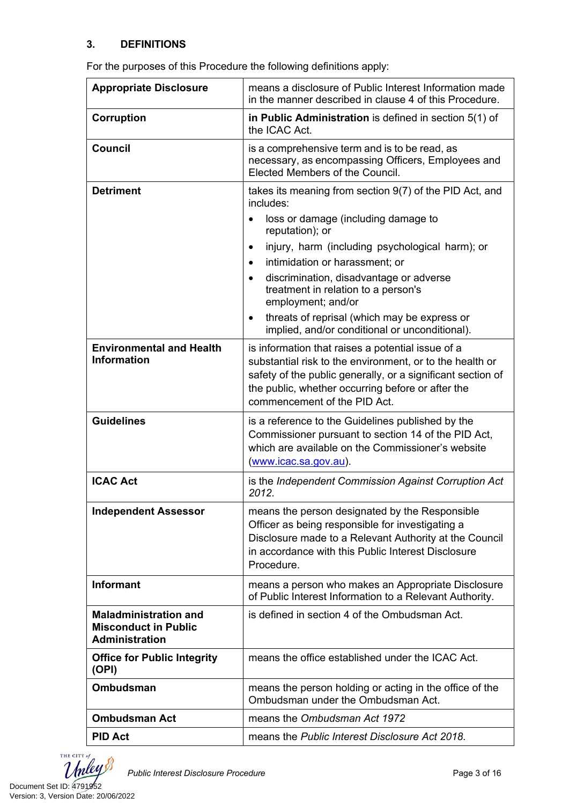#### **3. DEFINITIONS**

| <b>Appropriate Disclosure</b>                                                        | means a disclosure of Public Interest Information made<br>in the manner described in clause 4 of this Procedure.                                                                                                                                                  |  |
|--------------------------------------------------------------------------------------|-------------------------------------------------------------------------------------------------------------------------------------------------------------------------------------------------------------------------------------------------------------------|--|
| Corruption                                                                           | in Public Administration is defined in section 5(1) of<br>the ICAC Act.                                                                                                                                                                                           |  |
| <b>Council</b>                                                                       | is a comprehensive term and is to be read, as<br>necessary, as encompassing Officers, Employees and<br>Elected Members of the Council.                                                                                                                            |  |
| <b>Detriment</b>                                                                     | takes its meaning from section 9(7) of the PID Act, and<br>includes:                                                                                                                                                                                              |  |
|                                                                                      | loss or damage (including damage to<br>reputation); or                                                                                                                                                                                                            |  |
|                                                                                      | injury, harm (including psychological harm); or                                                                                                                                                                                                                   |  |
|                                                                                      | intimidation or harassment; or<br>$\bullet$                                                                                                                                                                                                                       |  |
|                                                                                      | discrimination, disadvantage or adverse<br>treatment in relation to a person's<br>employment; and/or                                                                                                                                                              |  |
|                                                                                      | threats of reprisal (which may be express or<br>$\bullet$<br>implied, and/or conditional or unconditional).                                                                                                                                                       |  |
| <b>Environmental and Health</b><br>Information                                       | is information that raises a potential issue of a<br>substantial risk to the environment, or to the health or<br>safety of the public generally, or a significant section of<br>the public, whether occurring before or after the<br>commencement of the PID Act. |  |
| <b>Guidelines</b>                                                                    | is a reference to the Guidelines published by the<br>Commissioner pursuant to section 14 of the PID Act,<br>which are available on the Commissioner's website<br>(www.icac.sa.gov.au).                                                                            |  |
| <b>ICAC Act</b>                                                                      | is the Independent Commission Against Corruption Act<br>2012.                                                                                                                                                                                                     |  |
| <b>Independent Assessor</b>                                                          | means the person designated by the Responsible<br>Officer as being responsible for investigating a<br>Disclosure made to a Relevant Authority at the Council<br>in accordance with this Public Interest Disclosure<br>Procedure.                                  |  |
| <b>Informant</b>                                                                     | means a person who makes an Appropriate Disclosure<br>of Public Interest Information to a Relevant Authority.                                                                                                                                                     |  |
| <b>Maladministration and</b><br><b>Misconduct in Public</b><br><b>Administration</b> | is defined in section 4 of the Ombudsman Act.                                                                                                                                                                                                                     |  |
| <b>Office for Public Integrity</b><br>(OPI)                                          | means the office established under the ICAC Act.                                                                                                                                                                                                                  |  |
| <b>Ombudsman</b>                                                                     | means the person holding or acting in the office of the<br>Ombudsman under the Ombudsman Act.                                                                                                                                                                     |  |
| <b>Ombudsman Act</b>                                                                 | means the Ombudsman Act 1972                                                                                                                                                                                                                                      |  |
| <b>PID Act</b>                                                                       | means the Public Interest Disclosure Act 2018.                                                                                                                                                                                                                    |  |

For the purposes of this Procedure the following definitions apply:

THE CITY of hley  $\boldsymbol{\mathcal{I}}$ Document Set ID: 4791952<br>Version: 3, Version Date: 20/06/2022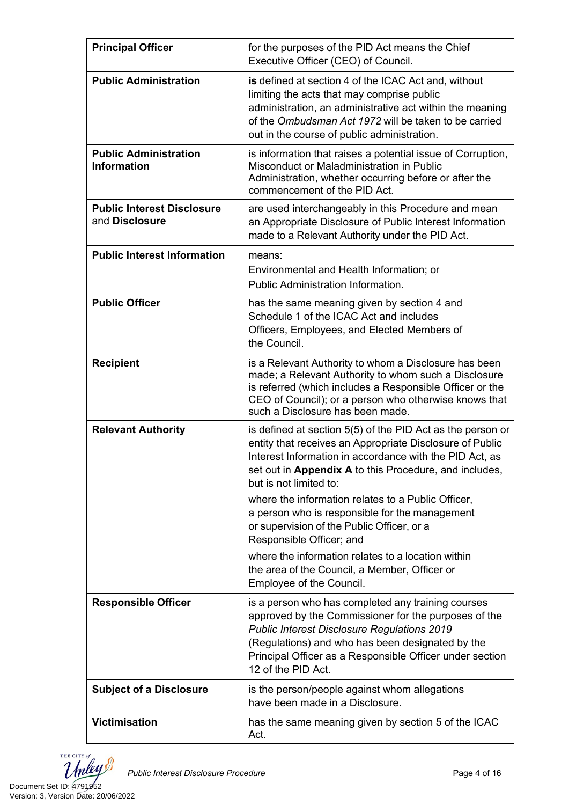| <b>Principal Officer</b>                            | for the purposes of the PID Act means the Chief<br>Executive Officer (CEO) of Council.                                                                                                                                                                                                                                                                                                                                                                                                                                                                         |  |
|-----------------------------------------------------|----------------------------------------------------------------------------------------------------------------------------------------------------------------------------------------------------------------------------------------------------------------------------------------------------------------------------------------------------------------------------------------------------------------------------------------------------------------------------------------------------------------------------------------------------------------|--|
| <b>Public Administration</b>                        | is defined at section 4 of the ICAC Act and, without<br>limiting the acts that may comprise public<br>administration, an administrative act within the meaning<br>of the Ombudsman Act 1972 will be taken to be carried<br>out in the course of public administration.                                                                                                                                                                                                                                                                                         |  |
| <b>Public Administration</b><br><b>Information</b>  | is information that raises a potential issue of Corruption,<br>Misconduct or Maladministration in Public<br>Administration, whether occurring before or after the<br>commencement of the PID Act.                                                                                                                                                                                                                                                                                                                                                              |  |
| <b>Public Interest Disclosure</b><br>and Disclosure | are used interchangeably in this Procedure and mean<br>an Appropriate Disclosure of Public Interest Information<br>made to a Relevant Authority under the PID Act.                                                                                                                                                                                                                                                                                                                                                                                             |  |
| <b>Public Interest Information</b>                  | means:<br>Environmental and Health Information; or<br>Public Administration Information.                                                                                                                                                                                                                                                                                                                                                                                                                                                                       |  |
| <b>Public Officer</b>                               | has the same meaning given by section 4 and<br>Schedule 1 of the ICAC Act and includes<br>Officers, Employees, and Elected Members of<br>the Council.                                                                                                                                                                                                                                                                                                                                                                                                          |  |
| <b>Recipient</b>                                    | is a Relevant Authority to whom a Disclosure has been<br>made; a Relevant Authority to whom such a Disclosure<br>is referred (which includes a Responsible Officer or the<br>CEO of Council); or a person who otherwise knows that<br>such a Disclosure has been made.                                                                                                                                                                                                                                                                                         |  |
| <b>Relevant Authority</b>                           | is defined at section 5(5) of the PID Act as the person or<br>entity that receives an Appropriate Disclosure of Public<br>Interest Information in accordance with the PID Act, as<br>set out in Appendix A to this Procedure, and includes,<br>but is not limited to:<br>where the information relates to a Public Officer,<br>a person who is responsible for the management<br>or supervision of the Public Officer, or a<br>Responsible Officer; and<br>where the information relates to a location within<br>the area of the Council, a Member, Officer or |  |
| <b>Responsible Officer</b>                          | Employee of the Council.<br>is a person who has completed any training courses                                                                                                                                                                                                                                                                                                                                                                                                                                                                                 |  |
|                                                     | approved by the Commissioner for the purposes of the<br><b>Public Interest Disclosure Regulations 2019</b><br>(Regulations) and who has been designated by the<br>Principal Officer as a Responsible Officer under section<br>12 of the PID Act.                                                                                                                                                                                                                                                                                                               |  |
| <b>Subject of a Disclosure</b>                      | is the person/people against whom allegations<br>have been made in a Disclosure.                                                                                                                                                                                                                                                                                                                                                                                                                                                                               |  |
| <b>Victimisation</b>                                | has the same meaning given by section 5 of the ICAC<br>Act.                                                                                                                                                                                                                                                                                                                                                                                                                                                                                                    |  |

THE CITY of Document Set ID: 4791952<br>Version: 3, Version Date: 20/06/2022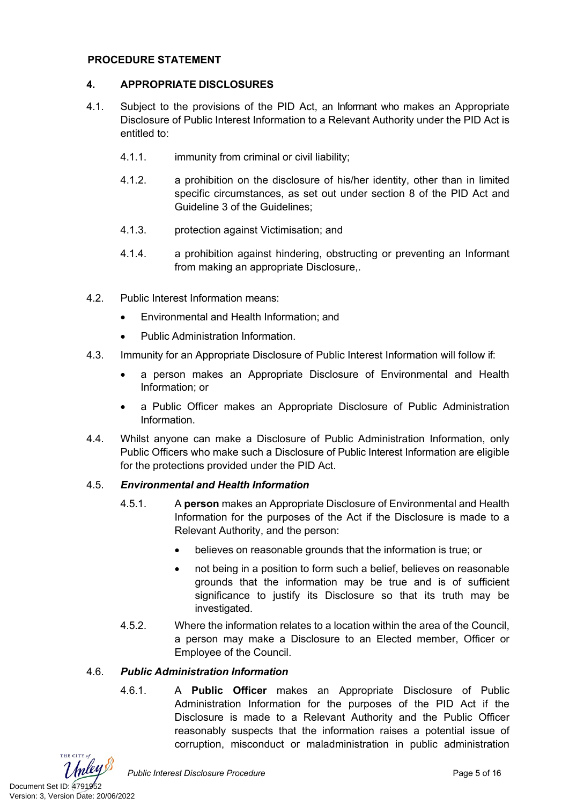#### **PROCEDURE STATEMENT**

#### **4. APPROPRIATE DISCLOSURES**

- 4.1. Subject to the provisions of the PID Act, an Informant who makes an Appropriate Disclosure of Public Interest Information to a Relevant Authority under the PID Act is entitled to:
	- 4.1.1. immunity from criminal or civil liability;
	- 4.1.2. a prohibition on the disclosure of his/her identity, other than in limited specific circumstances, as set out under section 8 of the PID Act and Guideline 3 of the Guidelines;
	- 4.1.3. protection against Victimisation; and
	- 4.1.4. a prohibition against hindering, obstructing or preventing an Informant from making an appropriate Disclosure,.
- 4.2. Public Interest Information means:
	- Environmental and Health Information; and
	- Public Administration Information.
- 4.3. Immunity for an Appropriate Disclosure of Public Interest Information will follow if:
	- a person makes an Appropriate Disclosure of Environmental and Health Information; or
	- a Public Officer makes an Appropriate Disclosure of Public Administration Information.
- 4.4. Whilst anyone can make a Disclosure of Public Administration Information, only Public Officers who make such a Disclosure of Public Interest Information are eligible for the protections provided under the PID Act.

#### 4.5. *Environmental and Health Information*

- 4.5.1. A **person** makes an Appropriate Disclosure of Environmental and Health Information for the purposes of the Act if the Disclosure is made to a Relevant Authority, and the person:
	- believes on reasonable grounds that the information is true; or
	- not being in a position to form such a belief, believes on reasonable grounds that the information may be true and is of sufficient significance to justify its Disclosure so that its truth may be investigated.
- 4.5.2. Where the information relates to a location within the area of the Council, a person may make a Disclosure to an Elected member, Officer or Employee of the Council.

#### 4.6. *Public Administration Information*

4.6.1. A **Public Officer** makes an Appropriate Disclosure of Public Administration Information for the purposes of the PID Act if the Disclosure is made to a Relevant Authority and the Public Officer reasonably suspects that the information raises a potential issue of corruption, misconduct or maladministration in public administration

THE CITY of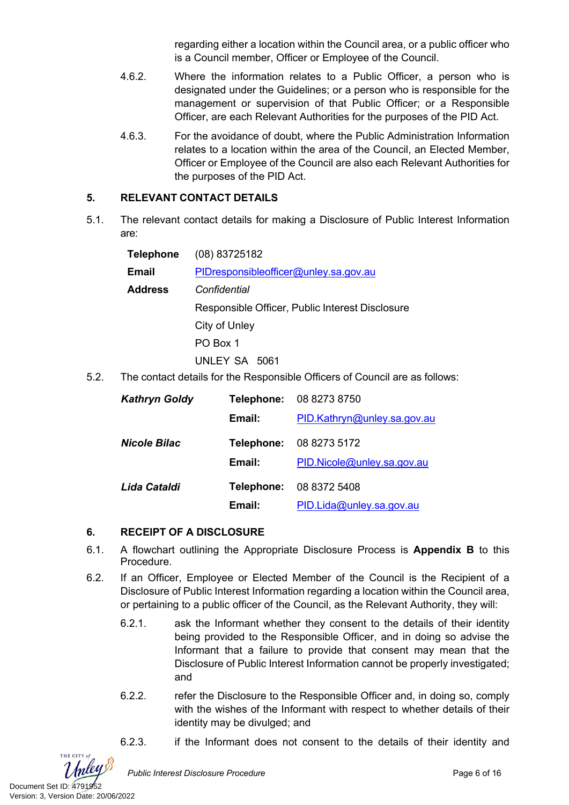regarding either a location within the Council area, or a public officer who is a Council member, Officer or Employee of the Council.

- 4.6.2. Where the information relates to a Public Officer, a person who is designated under the Guidelines; or a person who is responsible for the management or supervision of that Public Officer; or a Responsible Officer, are each Relevant Authorities for the purposes of the PID Act.
- 4.6.3. For the avoidance of doubt, where the Public Administration Information relates to a location within the area of the Council, an Elected Member, Officer or Employee of the Council are also each Relevant Authorities for the purposes of the PID Act.

#### **5. RELEVANT CONTACT DETAILS**

5.1. The relevant contact details for making a Disclosure of Public Interest Information are:

| Telephone      | $(08)$ 83725182                                                 |  |  |
|----------------|-----------------------------------------------------------------|--|--|
| Email          | PIDresponsibleofficer@unley.sa.gov.au                           |  |  |
| <b>Address</b> | Confidential<br>Responsible Officer, Public Interest Disclosure |  |  |
|                |                                                                 |  |  |
|                | City of Unley                                                   |  |  |
|                | PO Box 1                                                        |  |  |
|                | UNLEY SA 5061                                                   |  |  |

5.2. The contact details for the Responsible Officers of Council are as follows:

| <b>Kathryn Goldy</b> | Telephone: | 08 8273 8750                |
|----------------------|------------|-----------------------------|
|                      | Email:     | PID.Kathryn@unley.sa.gov.au |
| <b>Nicole Bilac</b>  | Telephone: | 08 8273 5172                |
|                      | Email:     | PID.Nicole@unley.sa.gov.au  |
| Lida Cataldi         | Telephone: | 08 8372 5408                |
|                      | Email:     | PID.Lida@unley.sa.gov.au    |

#### **6. RECEIPT OF A DISCLOSURE**

- 6.1. A flowchart outlining the Appropriate Disclosure Process is **Appendix B** to this Procedure.
- 6.2. If an Officer, Employee or Elected Member of the Council is the Recipient of a Disclosure of Public Interest Information regarding a location within the Council area, or pertaining to a public officer of the Council, as the Relevant Authority, they will:
	- 6.2.1. ask the Informant whether they consent to the details of their identity being provided to the Responsible Officer, and in doing so advise the Informant that a failure to provide that consent may mean that the Disclosure of Public Interest Information cannot be properly investigated; and
	- 6.2.2. refer the Disclosure to the Responsible Officer and, in doing so, comply with the wishes of the Informant with respect to whether details of their identity may be divulged; and
	- 6.2.3. if the Informant does not consent to the details of their identity and



THE CITY of

Public Interest Disclosure Procedure **Procedure Page 6 of 16** Page 6 of 16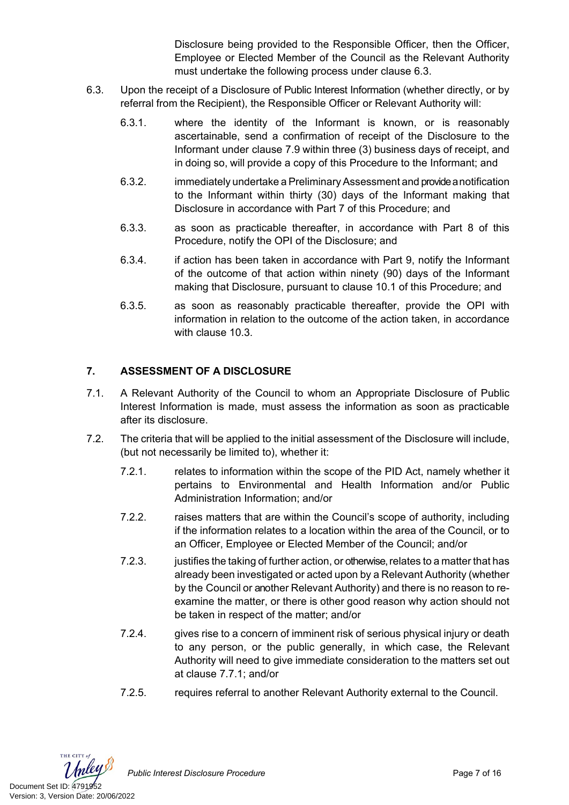Disclosure being provided to the Responsible Officer, then the Officer, Employee or Elected Member of the Council as the Relevant Authority must undertake the following process under clause 6.3.

- 6.3. Upon the receipt of a Disclosure of Public Interest Information (whether directly, or by referral from the Recipient), the Responsible Officer or Relevant Authority will:
	- 6.3.1. where the identity of the Informant is known, or is reasonably ascertainable, send a confirmation of receipt of the Disclosure to the Informant under clause 7.9 within three (3) business days of receipt, and in doing so, will provide a copy of this Procedure to the Informant; and
	- 6.3.2. immediately undertake a Preliminary Assessment and provide a notification to the Informant within thirty (30) days of the Informant making that Disclosure in accordance with Part 7 of this Procedure; and
	- 6.3.3. as soon as practicable thereafter, in accordance with Part 8 of this Procedure, notify the OPI of the Disclosure; and
	- 6.3.4. if action has been taken in accordance with Part 9, notify the Informant of the outcome of that action within ninety (90) days of the Informant making that Disclosure, pursuant to clause 10.1 of this Procedure; and
	- 6.3.5. as soon as reasonably practicable thereafter, provide the OPI with information in relation to the outcome of the action taken, in accordance with clause 10.3.

# **7. ASSESSMENT OF A DISCLOSURE**

- 7.1. A Relevant Authority of the Council to whom an Appropriate Disclosure of Public Interest Information is made, must assess the information as soon as practicable after its disclosure.
- 7.2. The criteria that will be applied to the initial assessment of the Disclosure will include, (but not necessarily be limited to), whether it:
	- 7.2.1. relates to information within the scope of the PID Act, namely whether it pertains to Environmental and Health Information and/or Public Administration Information; and/or
	- 7.2.2. raises matters that are within the Council's scope of authority, including if the information relates to a location within the area of the Council, or to an Officer, Employee or Elected Member of the Council; and/or
	- 7.2.3. justifies the taking of further action, or otherwise, relates to a matter that has already been investigated or acted upon by a Relevant Authority (whether by the Council or another Relevant Authority) and there is no reason to reexamine the matter, or there is other good reason why action should not be taken in respect of the matter; and/or
	- 7.2.4. gives rise to a concern of imminent risk of serious physical injury or death to any person, or the public generally, in which case, the Relevant Authority will need to give immediate consideration to the matters set out at clause 7.7.1; and/or
	- 7.2.5. requires referral to another Relevant Authority external to the Council.

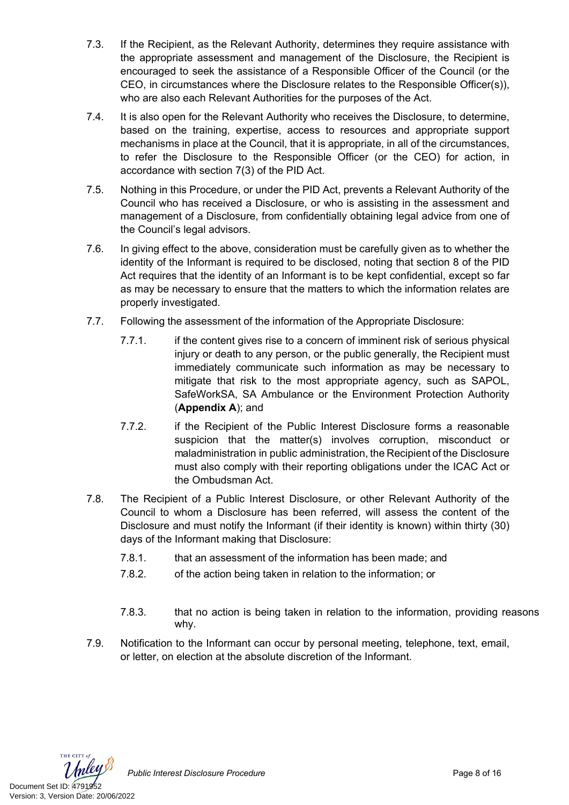- 7.3. If the Recipient, as the Relevant Authority, determines they require assistance with the appropriate assessment and management of the Disclosure, the Recipient is encouraged to seek the assistance of a Responsible Officer of the Council (or the CEO, in circumstances where the Disclosure relates to the Responsible Officer(s)), who are also each Relevant Authorities for the purposes of the Act.
- 7.4. It is also open for the Relevant Authority who receives the Disclosure, to determine, based on the training, expertise, access to resources and appropriate support mechanisms in place at the Council, that it is appropriate, in all of the circumstances, to refer the Disclosure to the Responsible Officer (or the CEO) for action, in accordance with section 7(3) of the PID Act.
- 7.5. Nothing in this Procedure, or under the PID Act, prevents a Relevant Authority of the Council who has received a Disclosure, or who is assisting in the assessment and management of a Disclosure, from confidentially obtaining legal advice from one of the Council's legal advisors.
- 7.6. In giving effect to the above, consideration must be carefully given as to whether the identity of the Informant is required to be disclosed, noting that section 8 of the PID Act requires that the identity of an Informant is to be kept confidential, except so far as may be necessary to ensure that the matters to which the information relates are properly investigated.
- 7.7. Following the assessment of the information of the Appropriate Disclosure:
	- 7.7.1. if the content gives rise to a concern of imminent risk of serious physical injury or death to any person, or the public generally, the Recipient must immediately communicate such information as may be necessary to mitigate that risk to the most appropriate agency, such as SAPOL, SafeWorkSA, SA Ambulance or the Environment Protection Authority (**Appendix A**); and
	- 7.7.2. if the Recipient of the Public Interest Disclosure forms a reasonable suspicion that the matter(s) involves corruption, misconduct or maladministration in public administration, the Recipient of the Disclosure must also comply with their reporting obligations under the ICAC Act or the Ombudsman Act.
- 7.8. The Recipient of a Public Interest Disclosure, or other Relevant Authority of the Council to whom a Disclosure has been referred, will assess the content of the Disclosure and must notify the Informant (if their identity is known) within thirty (30) days of the Informant making that Disclosure:
	- 7.8.1. that an assessment of the information has been made; and
	- 7.8.2. of the action being taken in relation to the information; or
	- 7.8.3. that no action is being taken in relation to the information, providing reasons why.
- 7.9. Notification to the Informant can occur by personal meeting, telephone, text, email, or letter, on election at the absolute discretion of the Informant.



Public Interest Disclosure Procedure **Page 8** of 16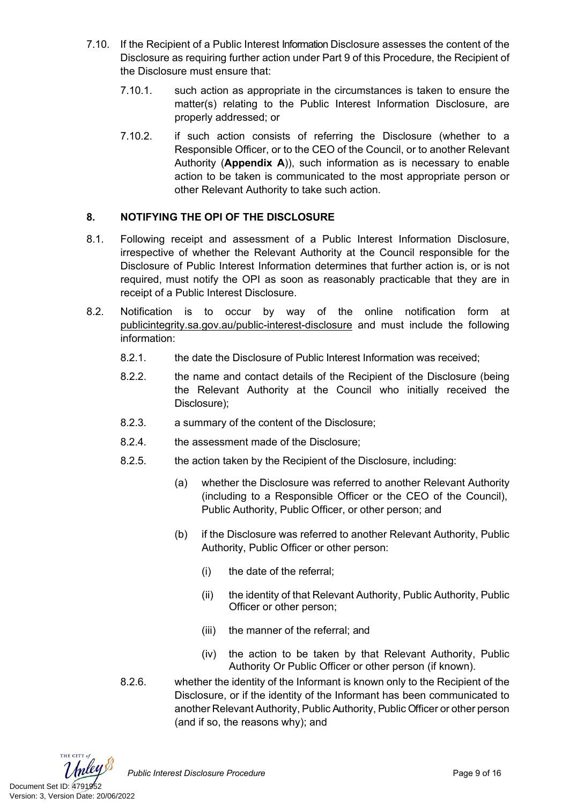- 7.10. If the Recipient of a Public Interest Information Disclosure assesses the content of the Disclosure as requiring further action under Part 9 of this Procedure, the Recipient of the Disclosure must ensure that:
	- 7.10.1. such action as appropriate in the circumstances is taken to ensure the matter(s) relating to the Public Interest Information Disclosure, are properly addressed; or
	- 7.10.2. if such action consists of referring the Disclosure (whether to a Responsible Officer, or to the CEO of the Council, or to another Relevant Authority (**Appendix A**)), such information as is necessary to enable action to be taken is communicated to the most appropriate person or other Relevant Authority to take such action.

#### **8. NOTIFYING THE OPI OF THE DISCLOSURE**

- 8.1. Following receipt and assessment of a Public Interest Information Disclosure, irrespective of whether the Relevant Authority at the Council responsible for the Disclosure of Public Interest Information determines that further action is, or is not required, must notify the OPI as soon as reasonably practicable that they are in receipt of a Public Interest Disclosure.
- 8.2. Notification is to occur by way of the online notification form at [publicintegrity.sa.gov.au/public-interest-disclosure](http://www.publicintegrity.sa.gov.au/public-interest-disclosure) and must include the following information:
	- 8.2.1. the date the Disclosure of Public Interest Information was received;
	- 8.2.2. the name and contact details of the Recipient of the Disclosure (being the Relevant Authority at the Council who initially received the Disclosure);
	- 8.2.3. a summary of the content of the Disclosure;
	- 8.2.4. the assessment made of the Disclosure;
	- 8.2.5. the action taken by the Recipient of the Disclosure, including:
		- (a) whether the Disclosure was referred to another Relevant Authority (including to a Responsible Officer or the CEO of the Council), Public Authority, Public Officer, or other person; and
		- (b) if the Disclosure was referred to another Relevant Authority, Public Authority, Public Officer or other person:
			- (i) the date of the referral;
			- (ii) the identity of that Relevant Authority, Public Authority, Public Officer or other person;
			- (iii) the manner of the referral; and
			- (iv) the action to be taken by that Relevant Authority, Public Authority Or Public Officer or other person (if known).
	- 8.2.6. whether the identity of the Informant is known only to the Recipient of the Disclosure, or if the identity of the Informant has been communicated to another Relevant Authority, Public Authority, Public Officer or other person (and if so, the reasons why); and

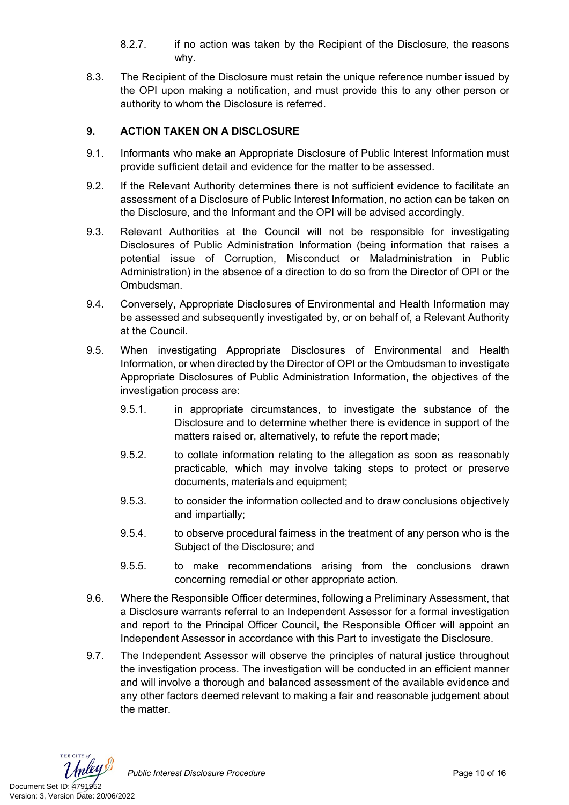- 8.2.7. if no action was taken by the Recipient of the Disclosure, the reasons why.
- 8.3. The Recipient of the Disclosure must retain the unique reference number issued by the OPI upon making a notification, and must provide this to any other person or authority to whom the Disclosure is referred.

## **9. ACTION TAKEN ON A DISCLOSURE**

- 9.1. Informants who make an Appropriate Disclosure of Public Interest Information must provide sufficient detail and evidence for the matter to be assessed.
- 9.2. If the Relevant Authority determines there is not sufficient evidence to facilitate an assessment of a Disclosure of Public Interest Information, no action can be taken on the Disclosure, and the Informant and the OPI will be advised accordingly.
- 9.3. Relevant Authorities at the Council will not be responsible for investigating Disclosures of Public Administration Information (being information that raises a potential issue of Corruption, Misconduct or Maladministration in Public Administration) in the absence of a direction to do so from the Director of OPI or the Ombudsman.
- 9.4. Conversely, Appropriate Disclosures of Environmental and Health Information may be assessed and subsequently investigated by, or on behalf of, a Relevant Authority at the Council.
- 9.5. When investigating Appropriate Disclosures of Environmental and Health Information, or when directed by the Director of OPI or the Ombudsman to investigate Appropriate Disclosures of Public Administration Information, the objectives of the investigation process are:
	- 9.5.1. in appropriate circumstances, to investigate the substance of the Disclosure and to determine whether there is evidence in support of the matters raised or, alternatively, to refute the report made;
	- 9.5.2. to collate information relating to the allegation as soon as reasonably practicable, which may involve taking steps to protect or preserve documents, materials and equipment;
	- 9.5.3. to consider the information collected and to draw conclusions objectively and impartially;
	- 9.5.4. to observe procedural fairness in the treatment of any person who is the Subject of the Disclosure; and
	- 9.5.5. to make recommendations arising from the conclusions drawn concerning remedial or other appropriate action.
- 9.6. Where the Responsible Officer determines, following a Preliminary Assessment, that a Disclosure warrants referral to an Independent Assessor for a formal investigation and report to the Principal Officer Council, the Responsible Officer will appoint an Independent Assessor in accordance with this Part to investigate the Disclosure.
- 9.7. The Independent Assessor will observe the principles of natural justice throughout the investigation process. The investigation will be conducted in an efficient manner and will involve a thorough and balanced assessment of the available evidence and any other factors deemed relevant to making a fair and reasonable judgement about the matter.

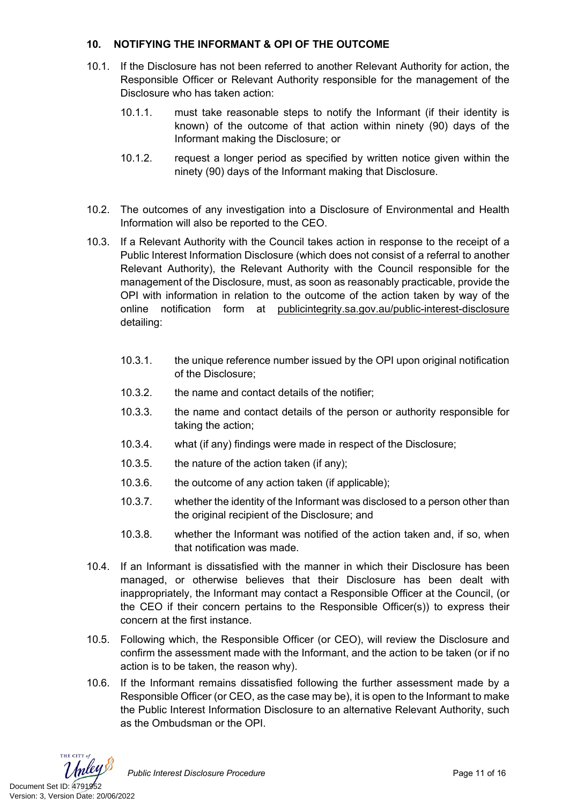#### **10. NOTIFYING THE INFORMANT & OPI OF THE OUTCOME**

- 10.1. If the Disclosure has not been referred to another Relevant Authority for action, the Responsible Officer or Relevant Authority responsible for the management of the Disclosure who has taken action:
	- 10.1.1. must take reasonable steps to notify the Informant (if their identity is known) of the outcome of that action within ninety (90) days of the Informant making the Disclosure; or
	- 10.1.2. request a longer period as specified by written notice given within the ninety (90) days of the Informant making that Disclosure.
- 10.2. The outcomes of any investigation into a Disclosure of Environmental and Health Information will also be reported to the CEO.
- 10.3. If a Relevant Authority with the Council takes action in response to the receipt of a Public Interest Information Disclosure (which does not consist of a referral to another Relevant Authority), the Relevant Authority with the Council responsible for the management of the Disclosure, must, as soon as reasonably practicable, provide the OPI with information in relation to the outcome of the action taken by way of the online notification form at [publicintegrity.sa.gov.au/public-interest-disclosure](http://www.publicintegrity.sa.gov.au/public-interest-disclosure) detailing:
	- 10.3.1. the unique reference number issued by the OPI upon original notification of the Disclosure;
	- 10.3.2. the name and contact details of the notifier;
	- 10.3.3. the name and contact details of the person or authority responsible for taking the action;
	- 10.3.4. what (if any) findings were made in respect of the Disclosure;
	- 10.3.5. the nature of the action taken (if any);
	- 10.3.6. the outcome of any action taken (if applicable);
	- 10.3.7. whether the identity of the Informant was disclosed to a person other than the original recipient of the Disclosure; and
	- 10.3.8. whether the Informant was notified of the action taken and, if so, when that notification was made.
- 10.4. If an Informant is dissatisfied with the manner in which their Disclosure has been managed, or otherwise believes that their Disclosure has been dealt with inappropriately, the Informant may contact a Responsible Officer at the Council, (or the CEO if their concern pertains to the Responsible Officer(s)) to express their concern at the first instance.
- 10.5. Following which, the Responsible Officer (or CEO), will review the Disclosure and confirm the assessment made with the Informant, and the action to be taken (or if no action is to be taken, the reason why).
- 10.6. If the Informant remains dissatisfied following the further assessment made by a Responsible Officer (or CEO, as the case may be), it is open to the Informant to make the Public Interest Information Disclosure to an alternative Relevant Authority, such as the Ombudsman or the OPI.

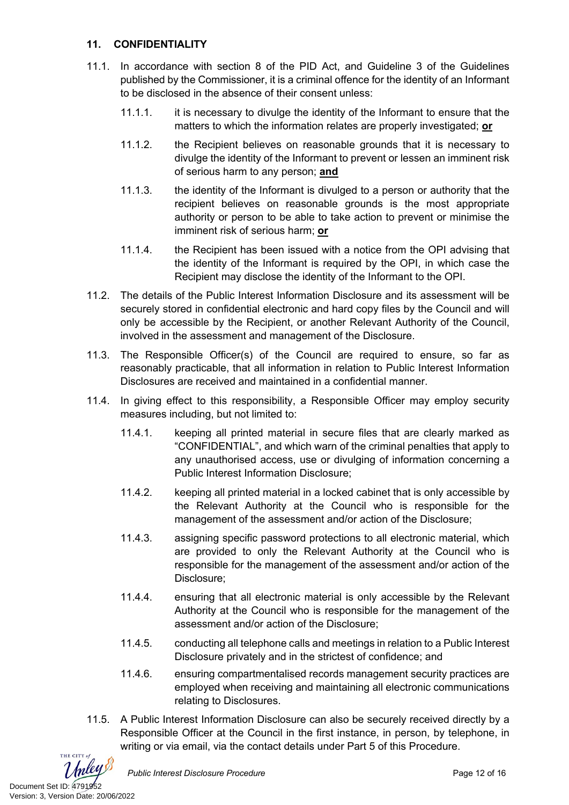#### **11. CONFIDENTIALITY**

- 11.1. In accordance with section 8 of the PID Act, and Guideline 3 of the Guidelines published by the Commissioner, it is a criminal offence for the identity of an Informant to be disclosed in the absence of their consent unless:
	- 11.1.1. it is necessary to divulge the identity of the Informant to ensure that the matters to which the information relates are properly investigated; **or**
	- 11.1.2. the Recipient believes on reasonable grounds that it is necessary to divulge the identity of the Informant to prevent or lessen an imminent risk of serious harm to any person; **and**
	- 11.1.3. the identity of the Informant is divulged to a person or authority that the recipient believes on reasonable grounds is the most appropriate authority or person to be able to take action to prevent or minimise the imminent risk of serious harm; **or**
	- 11.1.4. the Recipient has been issued with a notice from the OPI advising that the identity of the Informant is required by the OPI, in which case the Recipient may disclose the identity of the Informant to the OPI.
- 11.2. The details of the Public Interest Information Disclosure and its assessment will be securely stored in confidential electronic and hard copy files by the Council and will only be accessible by the Recipient, or another Relevant Authority of the Council, involved in the assessment and management of the Disclosure.
- 11.3. The Responsible Officer(s) of the Council are required to ensure, so far as reasonably practicable, that all information in relation to Public Interest Information Disclosures are received and maintained in a confidential manner.
- 11.4. In giving effect to this responsibility, a Responsible Officer may employ security measures including, but not limited to:
	- 11.4.1. keeping all printed material in secure files that are clearly marked as "CONFIDENTIAL", and which warn of the criminal penalties that apply to any unauthorised access, use or divulging of information concerning a Public Interest Information Disclosure;
	- 11.4.2. keeping all printed material in a locked cabinet that is only accessible by the Relevant Authority at the Council who is responsible for the management of the assessment and/or action of the Disclosure;
	- 11.4.3. assigning specific password protections to all electronic material, which are provided to only the Relevant Authority at the Council who is responsible for the management of the assessment and/or action of the Disclosure;
	- 11.4.4. ensuring that all electronic material is only accessible by the Relevant Authority at the Council who is responsible for the management of the assessment and/or action of the Disclosure;
	- 11.4.5. conducting all telephone calls and meetings in relation to a Public Interest Disclosure privately and in the strictest of confidence; and
	- 11.4.6. ensuring compartmentalised records management security practices are employed when receiving and maintaining all electronic communications relating to Disclosures.
- 11.5. A Public Interest Information Disclosure can also be securely received directly by a Responsible Officer at the Council in the first instance, in person, by telephone, in writing or via email, via the contact details under Part 5 of this Procedure.

THE CITY of Document Set ID: 4791952<br>Version: 3, Version Date: 20/06/2022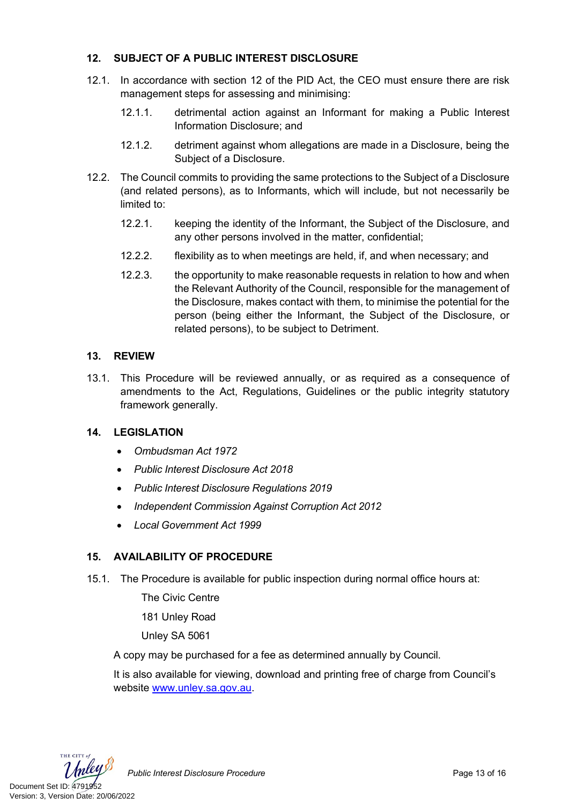#### **12. SUBJECT OF A PUBLIC INTEREST DISCLOSURE**

- 12.1. In accordance with section 12 of the PID Act, the CEO must ensure there are risk management steps for assessing and minimising:
	- 12.1.1. detrimental action against an Informant for making a Public Interest Information Disclosure; and
	- 12.1.2. detriment against whom allegations are made in a Disclosure, being the Subject of a Disclosure.
- 12.2. The Council commits to providing the same protections to the Subject of a Disclosure (and related persons), as to Informants, which will include, but not necessarily be limited to:
	- 12.2.1. keeping the identity of the Informant, the Subject of the Disclosure, and any other persons involved in the matter, confidential;
	- 12.2.2. flexibility as to when meetings are held, if, and when necessary; and
	- 12.2.3. the opportunity to make reasonable requests in relation to how and when the Relevant Authority of the Council, responsible for the management of the Disclosure, makes contact with them, to minimise the potential for the person (being either the Informant, the Subject of the Disclosure, or related persons), to be subject to Detriment.

#### **13. REVIEW**

13.1. This Procedure will be reviewed annually, or as required as a consequence of amendments to the Act, Regulations, Guidelines or the public integrity statutory framework generally.

#### **14. LEGISLATION**

- *Ombudsman Act 1972*
- *Public Interest Disclosure Act 2018*
- *Public Interest Disclosure Regulations 2019*
- *Independent Commission Against Corruption Act 2012*
- *Local Government Act 1999*

# **15. AVAILABILITY OF PROCEDURE**

15.1. The Procedure is available for public inspection during normal office hours at:

The Civic Centre

181 Unley Road

Unley SA 5061

A copy may be purchased for a fee as determined annually by Council.

It is also available for viewing, download and printing free of charge from Council's website [www.unley.sa.gov.au](http://www.unley.sa.gov.au/).



Public Interest Disclosure Procedure **Procedure Page 13 of 16**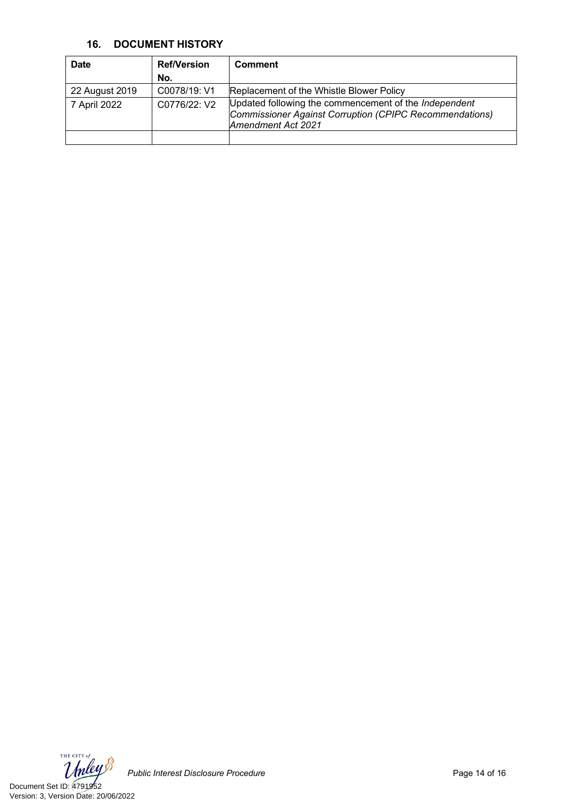#### **16. DOCUMENT HISTORY**

| <b>Date</b>    | <b>Ref/Version</b> | <b>Comment</b>                                                                                                                         |
|----------------|--------------------|----------------------------------------------------------------------------------------------------------------------------------------|
|                | No.                |                                                                                                                                        |
| 22 August 2019 | C0078/19: V1       | Replacement of the Whistle Blower Policy                                                                                               |
| 7 April 2022   | C0776/22: V2       | Updated following the commencement of the Independent<br>Commissioner Against Corruption (CPIPC Recommendations)<br>Amendment Act 2021 |
|                |                    |                                                                                                                                        |

THE CITY of Document Set ID: 4791952<br>Version: 3, Version Date: 20/06/2022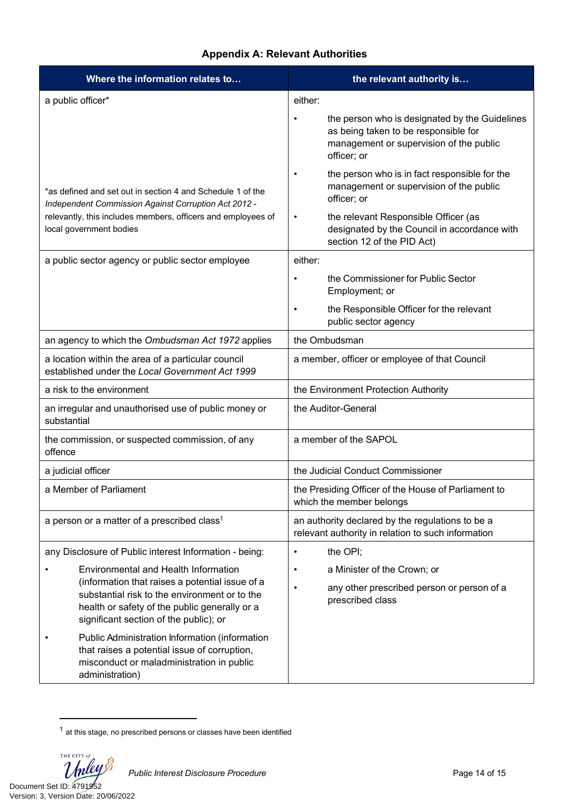# **Appendix A: Relevant Authorities**

| Where the information relates to                                                                                                                                                                                                    | the relevant authority is                                                                                                                                                                                                                       |  |
|-------------------------------------------------------------------------------------------------------------------------------------------------------------------------------------------------------------------------------------|-------------------------------------------------------------------------------------------------------------------------------------------------------------------------------------------------------------------------------------------------|--|
| a public officer*                                                                                                                                                                                                                   | either:                                                                                                                                                                                                                                         |  |
|                                                                                                                                                                                                                                     | the person who is designated by the Guidelines<br>as being taken to be responsible for<br>management or supervision of the public<br>officer; or                                                                                                |  |
| *as defined and set out in section 4 and Schedule 1 of the<br>Independent Commission Against Corruption Act 2012 -<br>relevantly, this includes members, officers and employees of<br>local government bodies                       | the person who is in fact responsible for the<br>٠<br>management or supervision of the public<br>officer; or<br>the relevant Responsible Officer (as<br>$\bullet$<br>designated by the Council in accordance with<br>section 12 of the PID Act) |  |
| a public sector agency or public sector employee                                                                                                                                                                                    | either:                                                                                                                                                                                                                                         |  |
|                                                                                                                                                                                                                                     | the Commissioner for Public Sector<br>٠<br>Employment; or                                                                                                                                                                                       |  |
|                                                                                                                                                                                                                                     | the Responsible Officer for the relevant<br>public sector agency                                                                                                                                                                                |  |
| an agency to which the Ombudsman Act 1972 applies                                                                                                                                                                                   | the Ombudsman                                                                                                                                                                                                                                   |  |
| a location within the area of a particular council<br>established under the Local Government Act 1999                                                                                                                               | a member, officer or employee of that Council                                                                                                                                                                                                   |  |
| a risk to the environment                                                                                                                                                                                                           | the Environment Protection Authority                                                                                                                                                                                                            |  |
| an irregular and unauthorised use of public money or<br>substantial                                                                                                                                                                 | the Auditor-General                                                                                                                                                                                                                             |  |
| the commission, or suspected commission, of any<br>offence                                                                                                                                                                          | a member of the SAPOL                                                                                                                                                                                                                           |  |
| a judicial officer                                                                                                                                                                                                                  | the Judicial Conduct Commissioner                                                                                                                                                                                                               |  |
| a Member of Parliament                                                                                                                                                                                                              | the Presiding Officer of the House of Parliament to<br>which the member belongs                                                                                                                                                                 |  |
| a person or a matter of a prescribed class <sup>1</sup>                                                                                                                                                                             | an authority declared by the regulations to be a<br>relevant authority in relation to such information                                                                                                                                          |  |
| any Disclosure of Public interest Information - being:                                                                                                                                                                              | the OPI;<br>$\bullet$                                                                                                                                                                                                                           |  |
| Environmental and Health Information<br>(information that raises a potential issue of a<br>substantial risk to the environment or to the<br>health or safety of the public generally or a<br>significant section of the public); or | a Minister of the Crown; or<br>$\bullet$<br>any other prescribed person or person of a<br>$\bullet$<br>prescribed class                                                                                                                         |  |
| Public Administration Information (information<br>that raises a potential issue of corruption,<br>misconduct or maladministration in public<br>administration)                                                                      |                                                                                                                                                                                                                                                 |  |

 $1$  at this stage, no prescribed persons or classes have been identified

THE CITY of Unley Document Set ID: 4791952<br>Version: 3, Version Date: 20/06/2022